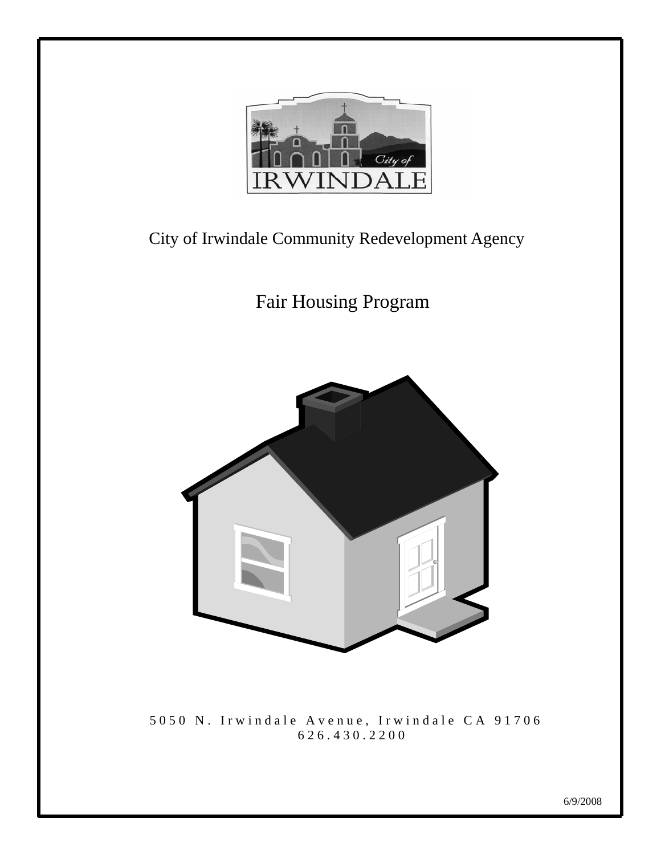

# City of Irwindale Community Redevelopment Agency

Fair Housing Program



 5050 N. Irwindale Avenue, Irwindale CA 91706 626.430.2200

l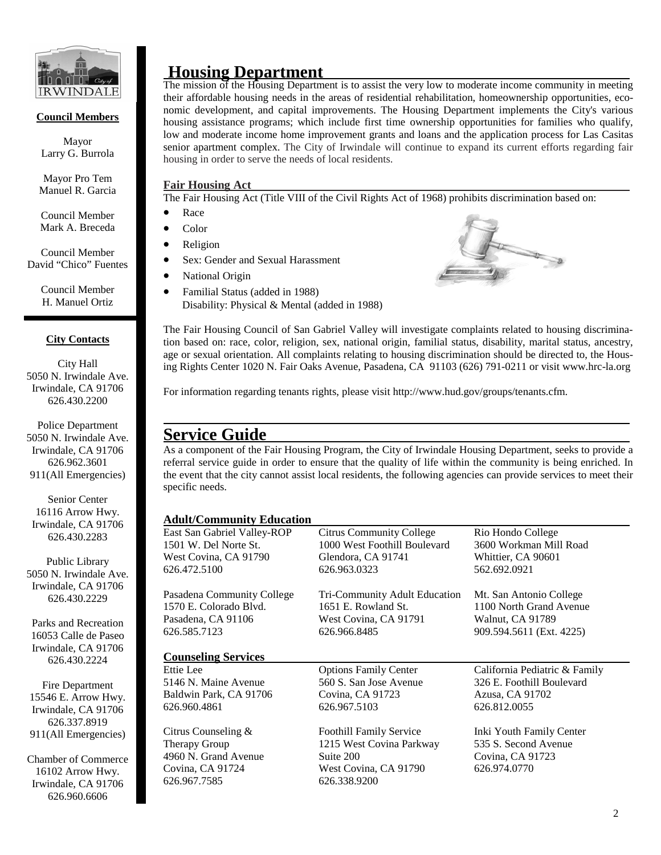

#### **Council Members**

Mayor Larry G. Burrola

Mayor Pro Tem Manuel R. Garcia

Council Member Mark A. Breceda

Council Member David "Chico" Fuentes

> Council Member H. Manuel Ortiz

#### **City Contacts**

City Hall 5050 N. Irwindale Ave. Irwindale, CA 91706 626.430.2200

Police Department 5050 N. Irwindale Ave. Irwindale, CA 91706 626.962.3601 911(All Emergencies)

Senior Center 16116 Arrow Hwy. Irwindale, CA 91706 626.430.2283

Public Library 5050 N. Irwindale Ave. Irwindale, CA 91706 626.430.2229

Parks and Recreation 16053 Calle de Paseo Irwindale, CA 91706 626.430.2224

Fire Department 15546 E. Arrow Hwy. Irwindale, CA 91706 626.337.8919 911(All Emergencies)

Chamber of Commerce 16102 Arrow Hwy. Irwindale, CA 91706 626.960.6606

#### **Housing Department**

The mission of the Housing Department is to assist the very low to moderate income community in meeting their affordable housing needs in the areas of residential rehabilitation, homeownership opportunities, economic development, and capital improvements. The Housing Department implements the City's various housing assistance programs; which include first time ownership opportunities for families who qualify, low and moderate income home improvement grants and loans and the application process for Las Casitas senior apartment complex. The City of Irwindale will continue to expand its current efforts regarding fair housing in order to serve the needs of local residents.

#### **Fair Housing Act**

The Fair Housing Act (Title VIII of the Civil Rights Act of 1968) prohibits discrimination based on:

- Race
- Color
- **Religion**
- Sex: Gender and Sexual Harassment
- National Origin
- Familial Status (added in 1988) Disability: Physical & Mental (added in 1988)



The Fair Housing Council of San Gabriel Valley will investigate complaints related to housing discrimination based on: race, color, religion, sex, national origin, familial status, disability, marital status, ancestry, age or sexual orientation. All complaints relating to housing discrimination should be directed to, the Housing Rights Center 1020 N. Fair Oaks Avenue, Pasadena, CA 91103 (626) 791-0211 or visit www.hrc-la.org

For information regarding tenants rights, please visit http://www.hud.gov/groups/tenants.cfm.

## **Service Guide**

As a component of the Fair Housing Program, the City of Irwindale Housing Department, seeks to provide a referral service guide in order to ensure that the quality of life within the community is being enriched. In the event that the city cannot assist local residents, the following agencies can provide services to meet their specific needs.

#### **Adult/Community Education**

| East San Gabriel Valley-ROP          | <b>Citrus Community College</b>                            | Rio Hondo College             |  |
|--------------------------------------|------------------------------------------------------------|-------------------------------|--|
| 1501 W. Del Norte St.                | 1000 West Foothill Boulevard                               | 3600 Workman Mill Road        |  |
| West Covina, CA 91790                | Glendora, CA 91741                                         | Whittier, CA 90601            |  |
| 626.472.5100                         | 626.963.0323                                               | 562.692.0921                  |  |
| Pasadena Community College           | Tri-Community Adult Education                              | Mt. San Antonio College       |  |
| 1570 E. Colorado Blvd.               | 1651 E. Rowland St.                                        | 1100 North Grand Avenue       |  |
| Pasadena, CA 91106                   | West Covina, CA 91791                                      | Walnut, CA 91789              |  |
| 626.585.7123                         | 626.966.8485                                               | 909.594.5611 (Ext. 4225)      |  |
| <b>Counseling Services</b>           |                                                            |                               |  |
| Ettie Lee                            | <b>Options Family Center</b>                               | California Pediatric & Family |  |
| 5146 N. Maine Avenue                 | 560 S. San Jose Avenue                                     | 326 E. Foothill Boulevard     |  |
| Baldwin Park, CA 91706               | Covina, CA 91723                                           | Azusa, CA 91702               |  |
|                                      |                                                            | 626.812.0055                  |  |
| 626.960.4861                         | 626.967.5103                                               |                               |  |
|                                      |                                                            | Inki Youth Family Center      |  |
| Citrus Counseling &<br>Therapy Group | <b>Foothill Family Service</b><br>1215 West Covina Parkway | 535 S. Second Avenue          |  |
| 4960 N. Grand Avenue                 | Suite 200                                                  | Covina, CA 91723              |  |
| Covina, CA 91724                     | West Covina, CA 91790                                      | 626.974.0770                  |  |
| 626.967.7585                         | 626.338.9200                                               |                               |  |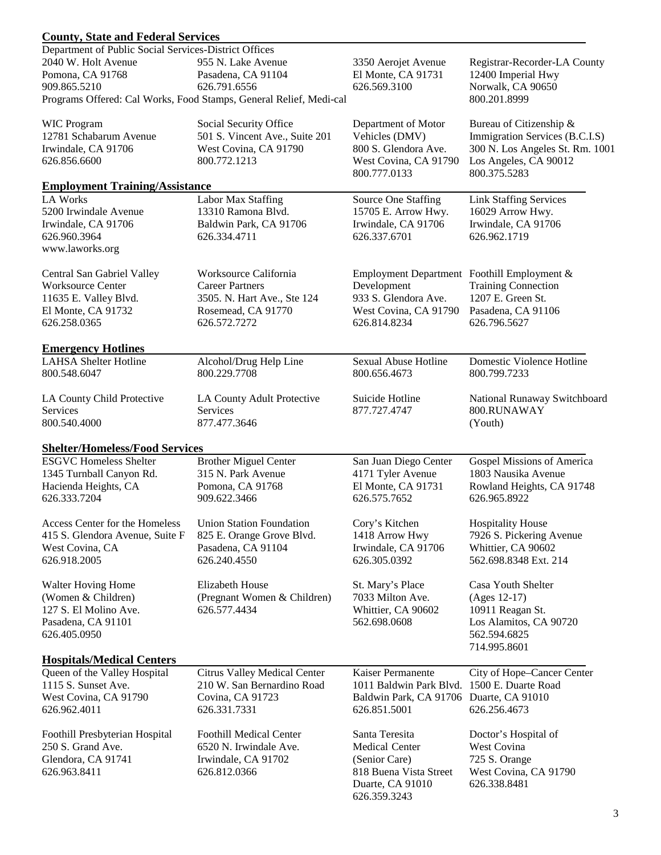## **County, State and Federal Services**

| Department of Public Social Services-District Offices |                                                                                    |                                             |                                       |  |  |
|-------------------------------------------------------|------------------------------------------------------------------------------------|---------------------------------------------|---------------------------------------|--|--|
| 2040 W. Holt Avenue                                   | 955 N. Lake Avenue                                                                 | 3350 Aerojet Avenue                         | Registrar-Recorder-LA County          |  |  |
| Pomona, CA 91768                                      | Pasadena, CA 91104                                                                 | El Monte, CA 91731                          | 12400 Imperial Hwy                    |  |  |
| 909.865.5210                                          | 626.791.6556                                                                       | 626.569.3100                                | Norwalk, CA 90650                     |  |  |
|                                                       | Programs Offered: Cal Works, Food Stamps, General Relief, Medi-cal<br>800.201.8999 |                                             |                                       |  |  |
| <b>WIC Program</b>                                    | Social Security Office                                                             | Department of Motor                         | Bureau of Citizenship &               |  |  |
| 12781 Schabarum Avenue                                | 501 S. Vincent Ave., Suite 201                                                     | Vehicles (DMV)                              | Immigration Services (B.C.I.S)        |  |  |
| Irwindale, CA 91706                                   | West Covina, CA 91790                                                              | 800 S. Glendora Ave.                        | 300 N. Los Angeles St. Rm. 1001       |  |  |
| 626.856.6600                                          | 800.772.1213                                                                       | West Covina, CA 91790<br>800.777.0133       | Los Angeles, CA 90012<br>800.375.5283 |  |  |
| <b>Employment Training/Assistance</b>                 |                                                                                    |                                             |                                       |  |  |
| <b>LA Works</b>                                       | Labor Max Staffing                                                                 | Source One Staffing                         | <b>Link Staffing Services</b>         |  |  |
| 5200 Irwindale Avenue                                 | 13310 Ramona Blvd.                                                                 | 15705 E. Arrow Hwy.                         | 16029 Arrow Hwy.                      |  |  |
| Irwindale, CA 91706                                   | Baldwin Park, CA 91706                                                             | Irwindale, CA 91706                         | Irwindale, CA 91706                   |  |  |
| 626.960.3964                                          | 626.334.4711                                                                       | 626.337.6701                                | 626.962.1719                          |  |  |
| www.laworks.org                                       |                                                                                    |                                             |                                       |  |  |
|                                                       |                                                                                    |                                             |                                       |  |  |
| Central San Gabriel Valley                            | Worksource California                                                              | Employment Department Foothill Employment & |                                       |  |  |
| <b>Worksource Center</b>                              | <b>Career Partners</b>                                                             | Development                                 | <b>Training Connection</b>            |  |  |
| 11635 E. Valley Blvd.                                 | 3505. N. Hart Ave., Ste 124                                                        | 933 S. Glendora Ave.                        | 1207 E. Green St.                     |  |  |
| El Monte, CA 91732                                    | Rosemead, CA 91770                                                                 | West Covina, CA 91790                       | Pasadena, CA 91106                    |  |  |
| 626.258.0365                                          | 626.572.7272                                                                       | 626.814.8234                                | 626.796.5627                          |  |  |
|                                                       |                                                                                    |                                             |                                       |  |  |
| <b>Emergency Hotlines</b>                             |                                                                                    |                                             |                                       |  |  |
| <b>LAHSA</b> Shelter Hotline                          | Alcohol/Drug Help Line                                                             | Sexual Abuse Hotline                        | Domestic Violence Hotline             |  |  |
| 800.548.6047                                          | 800.229.7708                                                                       | 800.656.4673                                | 800.799.7233                          |  |  |
| LA County Child Protective                            | LA County Adult Protective                                                         | Suicide Hotline                             | National Runaway Switchboard          |  |  |
| Services                                              | Services                                                                           | 877.727.4747                                | 800.RUNAWAY                           |  |  |
| 800.540.4000                                          | 877.477.3646                                                                       |                                             | (Youth)                               |  |  |
|                                                       |                                                                                    |                                             |                                       |  |  |
| <b>Shelter/Homeless/Food Services</b>                 |                                                                                    |                                             |                                       |  |  |
| <b>ESGVC Homeless Shelter</b>                         | <b>Brother Miguel Center</b>                                                       | San Juan Diego Center                       | Gospel Missions of America            |  |  |
| 1345 Turnball Canyon Rd.                              | 315 N. Park Avenue                                                                 | 4171 Tyler Avenue                           | 1803 Nausika Avenue                   |  |  |
| Hacienda Heights, CA                                  | Pomona, CA 91768                                                                   | El Monte, CA 91731                          | Rowland Heights, CA 91748             |  |  |
| 626.333.7204                                          | 909.622.3466                                                                       | 626.575.7652                                | 626.965.8922                          |  |  |
|                                                       |                                                                                    |                                             |                                       |  |  |
| Access Center for the Homeless                        | <b>Union Station Foundation</b>                                                    | Cory's Kitchen                              | <b>Hospitality House</b>              |  |  |
| 415 S. Glendora Avenue, Suite F                       | 825 E. Orange Grove Blvd.                                                          | 1418 Arrow Hwy                              | 7926 S. Pickering Avenue              |  |  |
| West Covina, CA                                       | Pasadena, CA 91104                                                                 | Irwindale, CA 91706                         | Whittier, CA 90602                    |  |  |
| 626.918.2005                                          | 626.240.4550                                                                       | 626.305.0392                                | 562.698.8348 Ext. 214                 |  |  |
|                                                       |                                                                                    |                                             |                                       |  |  |
| Walter Hoving Home                                    | Elizabeth House                                                                    | St. Mary's Place                            | Casa Youth Shelter                    |  |  |
| (Women & Children)                                    | (Pregnant Women & Children)                                                        | 7033 Milton Ave.                            | (Ages 12-17)                          |  |  |
| 127 S. El Molino Ave.                                 | 626.577.4434                                                                       | Whittier, CA 90602                          | 10911 Reagan St.                      |  |  |
| Pasadena, CA 91101                                    |                                                                                    | 562.698.0608                                | Los Alamitos, CA 90720                |  |  |
| 626.405.0950                                          |                                                                                    |                                             | 562.594.6825                          |  |  |
|                                                       |                                                                                    |                                             | 714.995.8601                          |  |  |
| <b>Hospitals/Medical Centers</b>                      |                                                                                    |                                             |                                       |  |  |
| Queen of the Valley Hospital                          | <b>Citrus Valley Medical Center</b>                                                | Kaiser Permanente                           | City of Hope-Cancer Center            |  |  |
| 1115 S. Sunset Ave.                                   | 210 W. San Bernardino Road                                                         | 1011 Baldwin Park Blvd. 1500 E. Duarte Road |                                       |  |  |
| West Covina, CA 91790                                 | Covina, CA 91723                                                                   | Baldwin Park, CA 91706 Duarte, CA 91010     |                                       |  |  |
| 626.962.4011                                          | 626.331.7331                                                                       | 626.851.5001                                | 626.256.4673                          |  |  |
|                                                       |                                                                                    |                                             |                                       |  |  |
| Foothill Presbyterian Hospital                        | <b>Foothill Medical Center</b>                                                     | Santa Teresita                              | Doctor's Hospital of                  |  |  |
| 250 S. Grand Ave.                                     | 6520 N. Irwindale Ave.                                                             | <b>Medical Center</b>                       | West Covina                           |  |  |
| Glendora, CA 91741                                    | Irwindale, CA 91702                                                                | (Senior Care)                               | 725 S. Orange                         |  |  |
| 626.963.8411                                          | 626.812.0366                                                                       | 818 Buena Vista Street                      | West Covina, CA 91790                 |  |  |
|                                                       |                                                                                    | Duarte, CA 91010                            | 626.338.8481                          |  |  |
|                                                       |                                                                                    | 626.359.3243                                |                                       |  |  |